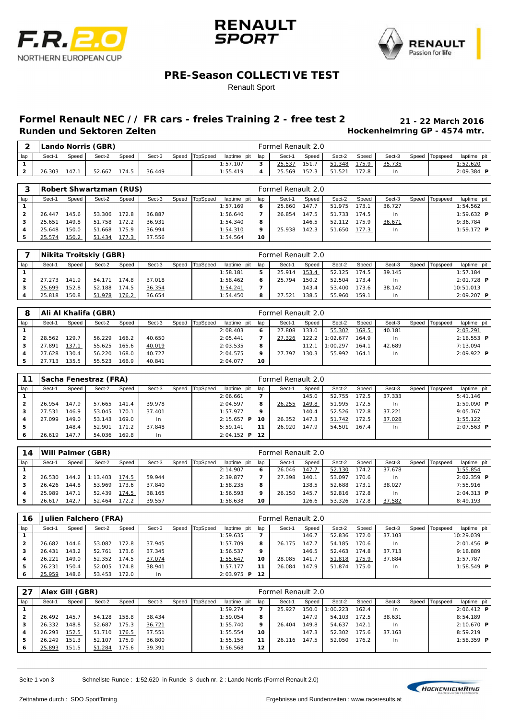





### **PRE-Season COLLECTIVE TEST**

#### Renault Sport

# **Formel Renault NEC // FR cars - freies Training 2 - free test 2 21 - 22 March 2016**

**Hockenheimring GP - 4574 mtr.** 

|     |        |       | Lando Norris (GBR) |       |        |       |          |                 |        | Formel Renault 2.0 |                |        |       |        |                |                 |
|-----|--------|-------|--------------------|-------|--------|-------|----------|-----------------|--------|--------------------|----------------|--------|-------|--------|----------------|-----------------|
| lap | Sect-1 | Speed | Sect-2             | Speed | Sect-3 | Speed | TopSpeed | laptime pit lap |        | Sect-              | Speed          | Sect-2 | Speed | Sect-3 | Speed Topspeed | laptime pit     |
|     |        |       |                    |       |        |       |          | 1:57.107        | $\sim$ | 25.537             | 151.           | 51.348 | 175.9 | 35.735 |                | <u>l:52.620</u> |
| ▵   | 26.303 | 47.   | 52.667             | 174.5 | 36.449 |       |          | 1:55.419        |        | 25.569             | <u> 152. 3</u> | 51.521 |       | l n    |                | 2:09.384<br>P   |

|              |        |       | Robert Shwartzman (RUS) |       |        |       |          |             |     | Formel Renault 2.0 |       |             |       |        |       |          |                   |
|--------------|--------|-------|-------------------------|-------|--------|-------|----------|-------------|-----|--------------------|-------|-------------|-------|--------|-------|----------|-------------------|
| lap          | Sect-1 | Speed | Sect-2                  | Speed | Sect-3 | Speed | TopSpeed | laptime pit | lap | Sect-1             | Speed | Sect-2      | Speed | Sect-3 | Speed | Topspeed | laptime pit       |
|              |        |       |                         |       |        |       |          | 1:57.169    | 6   | 25.860             | 147.7 | 51.975      | 173.1 | 36.727 |       |          | 1:54.562          |
| $\mathbf{2}$ | 26.447 | 145.6 | 53.306                  | 172.8 | 36.887 |       |          | 1:56.640    |     | 26.854             | 147.5 | 51.733      | 174.5 | 1n     |       |          | 1:59.632 <b>P</b> |
| з            | 25.651 | 149.8 | 51.758                  | 72.2  | 36.931 |       |          | 1:54.340    | 8   |                    | 146.5 | 52.112      | 175.9 | 36.671 |       |          | 9:36.784          |
|              | 25.648 | 150.0 | 51.668                  | 175.9 | 36.994 |       |          | 1:54.310    | 9   | 25.938             | 142.3 | 1.650<br>51 | 177.3 | l n    |       |          | 1:59.172 $P$      |
| 5            | 25.574 | 150.2 | 51.434                  | 177.3 | 37.556 |       |          | 1:54.564    | 10  |                    |       |             |       |        |       |          |                   |

|     |        |       | Nikita Troitskiy (GBR) |       |        |                |             |     | Formel Renault 2.0 |       |        |       |        |       |          |              |  |
|-----|--------|-------|------------------------|-------|--------|----------------|-------------|-----|--------------------|-------|--------|-------|--------|-------|----------|--------------|--|
| lap | Sect-1 | Speed | Sect-2                 | Speed | Sect-3 | Speed TopSpeed | laptime pit | lap | Sect-1             | Speed | Sect-2 | Speed | Sect-3 | Speed | Topspeed | laptime pit  |  |
|     |        |       |                        |       |        |                | 1:58.181    | 5   | 25.914             | 153.4 | 52.125 | 174.5 | 39.145 |       |          | 1:57.184     |  |
|     | 27.273 | 141.9 | 54.171                 | 174.8 | 37.018 |                | 1:58.462    | 6   | 25.794             | 150.2 | 52.504 | 173.4 | In.    |       |          | $2:01.728$ P |  |
|     | 25.699 | 152.8 | 52.188                 | 174.5 | 36.354 |                | 1:54.241    |     |                    | 143.4 | 53.400 | 173.6 | 38.142 |       |          | 10:51.013    |  |
|     | 25.818 | 150.8 | 51.978                 | 176.2 | 36.654 |                | 1:54.450    | 8   | 27.521             | 138.5 | 55.960 | 159.1 | l n    |       |          | $2:09.207$ P |  |

| 8   |        |               | Ali Al Khalifa (GBR) |       |        |                |             |     | Formel Renault 2.0 |         |          |       |        |       |          |              |
|-----|--------|---------------|----------------------|-------|--------|----------------|-------------|-----|--------------------|---------|----------|-------|--------|-------|----------|--------------|
| lap | Sect-1 | Speed         | Sect-2               | Speed | Sect-3 | Speed TopSpeed | laptime pit | lap | Sect-1             | Speed   | Sect-2   | Speed | Sect-3 | Speed | Topspeed | laptime pit  |
|     |        |               |                      |       |        |                | 2:08.403    | 6   | 27.808             | 133.0   | 55.302   | 168.5 | 40.181 |       |          | 2:03.291     |
| 2   | 28.562 | 29.7          | 56.229               | 166.2 | 40.650 |                | 2:05.441    |     | 27.326             | 122.2 I | 1:02.677 | 164.9 | I n    |       |          | $2:18.553$ P |
|     | 27.891 | <u> 137.1</u> | 55.625               | 165.6 | 40.019 |                | 2:03.535    | 8   |                    | 112.1   | 1:00.297 | 164.1 | 42.689 |       |          | 7:13.094     |
|     | 27.628 | 30.4          | 56.220               | 168.0 | 40.727 |                | 2:04.575    | 9   | 27.797             | 130.3   | 55.992   | 164.1 | l n    |       |          | $2:09.922$ P |
|     |        | 35.5          | 55.523               | 166.9 | 40.841 |                | 2:04.077    | 10  |                    |         |          |       |        |       |          |              |

| 11                  |        |       | Sacha Fenestraz (FRA) |       |        |       |          |                     |     | Formel Renault 2.0 |       |        |       |        |       |          |                     |
|---------------------|--------|-------|-----------------------|-------|--------|-------|----------|---------------------|-----|--------------------|-------|--------|-------|--------|-------|----------|---------------------|
| lap                 | Sect-1 | Speed | Sect-2                | Speed | Sect-3 | Speed | TopSpeed | laptime pit         | lap | Sect-1             | Speed | Sect-2 | Speed | Sect-3 | Speed | Topspeed | laptime pit         |
|                     |        |       |                       |       |        |       |          | 2:06.661            | 7   |                    | 145.0 | 52.755 | 172.5 | 37.333 |       |          | 5: 41.146           |
| $\overline{2}$      | 26.954 | 147.9 | 57.665                | 141.4 | 39.978 |       |          | 2:04.597            | 8   | 26.255             | 149.8 | 51.995 | 172.5 | $\ln$  |       |          | $1:59.090$ <b>P</b> |
| з                   | 27.531 | 46.9  | 53.045                | 170.  | 37.401 |       |          | 1:57.977            | 9   |                    | 140.4 | 52.526 | 172.8 | 37.221 |       |          | 9:05.767            |
| $\overline{\bf{4}}$ | 27.099 | 49.0  | 53.143                | 169.0 | In.    |       |          | 2:15.657<br>P       | 10  | 26.352             | 147.3 | 51.742 | 172.5 | 37.028 |       |          | 1:55.122            |
| 5                   |        | 148.4 | 52.901                | 171.2 | 37.848 |       |          | 5:59.141            | 11  | 26.920             | 147.9 | 54.501 | 167.4 | In.    |       |          | $2:07.563$ <b>P</b> |
| ь                   | 26.619 | 147.7 | 54.036                | 169.8 | l n    |       |          | $2:04.152$ <b>P</b> | 12  |                    |       |        |       |        |       |          |                     |

| 14           |        |       | Will Palmer (GBR) |       |        |       |          |             |     | Formel Renault 2.0 |               |        |       |        |       |          |              |
|--------------|--------|-------|-------------------|-------|--------|-------|----------|-------------|-----|--------------------|---------------|--------|-------|--------|-------|----------|--------------|
| lap          | Sect-1 | Speed | Sect-2            | Speed | Sect-3 | Speed | TopSpeed | laptime pit | lap | Sect-1             | Speed         | Sect-2 | Speed | Sect-3 | Speed | Topspeed | laptime pit  |
|              |        |       |                   |       |        |       |          | 2:14.907    | 6   | 26.046             | <u> 147.7</u> | 52.130 | 174.2 | 37.678 |       |          | 1:55.854     |
| $\mathbf{2}$ | 26.530 | 144.2 | 1:13.403          | 174.5 | 59.944 |       |          | 2:39.877    |     | 27.398             | 140.1         | 53.097 | 170.6 | I n    |       |          | $2:02.359$ P |
| 3            | 26.426 | 144.8 | 53.969            | 173.6 | 37.840 |       |          | 1:58.235    | 8   |                    | 138.5         | 52.688 | 173.1 | 38.027 |       |          | 7:55.916     |
|              | 25.989 | 147.1 | 52.439            | 174.5 | 38.165 |       |          | 1:56.593    | 9   | 26.150             | 145.7         | 52.816 | 172.8 | I n    |       |          | $2:04.313$ P |
| 5            | 26.617 | 142.7 | 52.464            | 172.2 | 39.557 |       |          | 1:58.638    | 10  |                    | 126.6         | 53.326 | 172.8 | 37.582 |       |          | 8:49.193     |

| 16        |        |       | Julien Falchero (FRA) |       |        |       |          |               |     | Formel Renault 2.0 |       |        |       |        |       |          |                     |  |
|-----------|--------|-------|-----------------------|-------|--------|-------|----------|---------------|-----|--------------------|-------|--------|-------|--------|-------|----------|---------------------|--|
| lap       | Sect-1 | Speed | Sect-2                | Speed | Sect-3 | Speed | TopSpeed | laptime pit   | lap | Sect-1             | Speed | Sect-2 | Speed | Sect-3 | Speed | Topspeed | laptime pit         |  |
|           |        |       |                       |       |        |       |          | 1:59.635      | 7   |                    | 146.7 | 52.836 | 172.0 | 37.103 |       |          | 10:29.039           |  |
|           | 26.682 | 144.6 | 53.082                | 172.8 | 37.945 |       |          | 1:57.709      | 8   | 26.175             | 147.7 | 54.185 | 170.6 | I n    |       |          | $2:01.456$ <b>P</b> |  |
|           | 26.431 | 143.2 | 52.761                | 173.6 | 37.345 |       |          | 1:56.537      | -9  |                    | 146.5 | 52.463 | 174.8 | 37.713 |       |          | 9:18.889            |  |
| 4         | 26.221 | 149.0 | 52.352                | 174.5 | 37.074 |       |          | 1:55.647      | 10  | 28.085             | 141.7 | 51.818 | 175.9 | 37.884 |       |          | 1:57.787            |  |
| 5         | 26.231 | 150.4 | 52.005                | 174.8 | 38.941 |       |          | 1:57.177      | 11  | 26.084             | 147.9 | 51.874 | 175.0 | I n    |       |          | $1:58.549$ <b>P</b> |  |
| $\bullet$ | 25.959 | 148.6 | 53.453                | 172.0 | l n    |       |          | 2:03.975<br>P | 12  |                    |       |        |       |        |       |          |                     |  |

|     |        | Alex Gill (GBR) |        |       |        |       |          |             |                   | Formel Renault 2.0 |       |          |       |                |       |          |                     |  |
|-----|--------|-----------------|--------|-------|--------|-------|----------|-------------|-------------------|--------------------|-------|----------|-------|----------------|-------|----------|---------------------|--|
| lap | Sect-1 | Speed           | Sect-2 | Speed | Sect-3 | Speed | TopSpeed | laptime pit | lap               | Sect-1             | Speed | Sect-2   | Speed | Sect-3         | Speed | Topspeed | laptime pit         |  |
|     |        |                 |        |       |        |       |          | 1:59.274    | 7                 | 25.927             | 150.0 | 1:00.223 | 162.4 | 1 <sub>n</sub> |       |          | $2:06.412$ <b>P</b> |  |
|     | 26.492 | 145.7           | 54.128 | 158.8 | 38.434 |       |          | 1:59.054    | 8                 |                    | 147.9 | 54.103   | 172.5 | 38.631         |       |          | 8:54.189            |  |
| з   | 26.332 | 148.8           | 52.687 | 75.3  | 36.721 |       |          | 1:55.740    | 9                 | 26.404             | 149.8 | 54.637   | 142.1 | 1 <sub>n</sub> |       |          | $2:10.670$ <b>P</b> |  |
| 4   | 26.293 | 152.5           | 51.710 | 176.5 | 37.551 |       |          | 1:55.554    | 10                |                    | 147.3 | 52.302   | 175.6 | 37.163         |       |          | 8:59.219            |  |
| 5   | 26.249 | 151.3           | 52.107 | 75.9  | 36.800 |       |          | 1:55.156    | 11                | 26.116             | 147.5 | 52.050   | 176.2 | 1 <sub>n</sub> |       |          | $1:58.359$ <b>P</b> |  |
| ь   | 25.893 | 151.5           | 51.284 | 75.6  | 39.391 |       |          | 1:56.568    | $12 \overline{ }$ |                    |       |          |       |                |       |          |                     |  |

Seite 1 von 3 Schnellste Runde : 1:52.620 in Runde 3 duch nr. 2 : Lando Norris (Formel Renault 2.0)

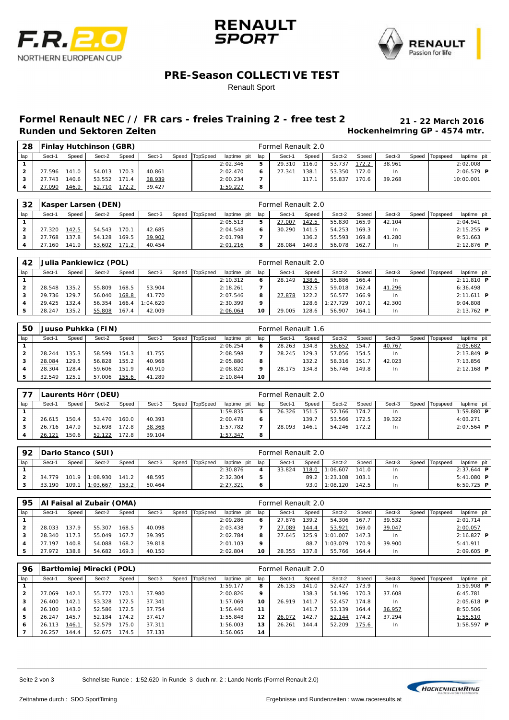





### **PRE-Season COLLECTIVE TEST**

#### Renault Sport

# **Formel Renault NEC // FR cars - freies Training 2 - free test 2 21 - 22 March 2016**

**Hockenheimring GP - 4574 mtr.** 

| 28  |        |       | <b>Finlay Hutchinson (GBR)</b> |       |        |                |                 |   | Formel Renault 2.0 |       |        |       |                |                |              |
|-----|--------|-------|--------------------------------|-------|--------|----------------|-----------------|---|--------------------|-------|--------|-------|----------------|----------------|--------------|
| lap | Sect-1 | Speed | Sect-2                         | Speed | Sect-3 | Speed TopSpeed | laptime pit lap |   | Sect-1             | Speed | Sect-2 | Speed | Sect-3         | Speed Topspeed | laptime pit  |
|     |        |       |                                |       |        |                | 2:02.346        | 5 | 29.310             | 116.0 | 53.737 | 172.2 | 38.961         |                | 2:02.008     |
|     | 27.596 | 141.0 | 54.013                         | 170.3 | 40.861 |                | 2:02.470        | 6 | 27.341             | 138.1 | 53.350 | 172.0 | 1 <sub>n</sub> |                | $2:06.579$ P |
|     | 27.743 | 140.6 | 53.552                         | 171.4 | 38.939 |                | 2:00.234        |   |                    | 117.  | 55.837 | 170.6 | 39.268         |                | 10:00.001    |
|     | 27.090 | 146.9 | 52.710                         | 172.2 | 39.427 |                | 1:59.227        | 8 |                    |       |        |       |                |                |              |

| 32  |        |       | Kasper Larsen (DEN) |       |        |                |             |     | Formel Renault 2.0 |       |        |       |        |       |          |                     |  |
|-----|--------|-------|---------------------|-------|--------|----------------|-------------|-----|--------------------|-------|--------|-------|--------|-------|----------|---------------------|--|
| lap | Sect-1 | Speed | Sect-2              | Speed | Sect-3 | Speed TopSpeed | laptime pit | lap | Sect-1             | Speed | Sect-2 | Speed | Sect-3 | Speed | Topspeed | laptime pit         |  |
|     |        |       |                     |       |        |                | 2:05.513    | 5   | 27.007             | 142.5 | 55.830 | 165.9 | 42.104 |       |          | 2:04.941            |  |
|     | 27.320 | 142.5 | 54.543              | 170.1 | 42.685 |                | 2:04.548    | 6   | 30.290             | 141.5 | 54.253 | 169.3 | 1n     |       |          | $2:15.255$ P        |  |
|     | 27.768 | 137.8 | 54.128              | 169.5 | 39.902 |                | 2:01.798    |     |                    | 136.2 | 55.593 | 169.8 | 41.280 |       |          | 9:51.663            |  |
|     | 27.160 | 141.9 | 53.602              | 171.  | 40.454 |                | 2:01.216    | 8   | 28.084             | 140.8 | 56.078 | 162.7 | l n    |       |          | $2:12.876$ <b>P</b> |  |

| 42             |        |       | Julia Pankiewicz (POL) |       |          |       |          |             |     | Formel Renault 2.0 |       |          |       |                |       |          |               |  |
|----------------|--------|-------|------------------------|-------|----------|-------|----------|-------------|-----|--------------------|-------|----------|-------|----------------|-------|----------|---------------|--|
| lap            | Sect-1 | Speed | Sect-2                 | Speed | Sect-3   | Speed | TopSpeed | laptime pit | lap | Sect-1             | Speed | Sect-2   | Speed | Sect-3         | Speed | Topspeed | laptime pit I |  |
|                |        |       |                        |       |          |       |          | 2:10.312    | 6   | 28.149             | 138.6 | 55.886   | 166.4 | 1 <sub>n</sub> |       |          | $2:11.810$ P  |  |
| $\overline{2}$ | 28.548 | 135.2 | 55.809                 | 168.5 | 53.904   |       |          | 2:18.261    |     |                    | 132.5 | 59.018   | 162.4 | 41.296         |       |          | 6:36.498      |  |
| з              | 29.736 | 129.7 | 56.040                 | 168.8 | 41.770   |       |          | 2:07.546    | 8   | 27.878             | 122.2 | 56.577   | 166.9 | 1 <sub>n</sub> |       |          | $2:11.611$ P  |  |
|                | 29.425 | 132.4 | 56.354                 | 166.4 | 1:04.620 |       |          | 2:30.399    | 9   |                    | 128.6 | 1:27.729 | 107.1 | 42.300         |       |          | 9:04.808      |  |
|                | 28.247 | 135.2 | 55.808                 | 167.4 | 42.009   |       |          | 2:06.064    | 10  | 29.005             | 128.6 | 56.907   | 164.1 | 1 <sub>n</sub> |       |          | $2:13.762$ P  |  |

| 50             |        |        | Juuso Puhkka (FIN) |       |        |       |          |             |     | Formel Renault 1.6 |       |        |       |                |       |          |              |
|----------------|--------|--------|--------------------|-------|--------|-------|----------|-------------|-----|--------------------|-------|--------|-------|----------------|-------|----------|--------------|
| lap            | Sect-1 | Speed  | Sect-2             | Speed | Sect-3 | Speed | TopSpeed | laptime pit | lap | Sect-1             | Speed | Sect-2 | Speed | Sect-3         | Speed | Topspeed | laptime pit  |
|                |        |        |                    |       |        |       |          | 2:06.254    | 6   | 28.263             | 134.8 | 56.652 | 154.7 | 40.767         |       |          | 2:05.682     |
| $\overline{2}$ | 28.244 | 135.3  | 58.599             | 154.3 | 41.755 |       |          | 2:08.598    |     | 28.245             | 129.3 | 57.056 | 154.5 | 1 <sub>n</sub> |       |          | $2:13.849$ P |
| 3              | 28.084 | ' 29.5 | 56.828             | 155.2 | 40.968 |       |          | 2:05.880    | 8   |                    | 132.2 | 58.316 | 151.7 | 42.023         |       |          | 7:13.856     |
|                | 28.304 | 128.4  | 59.606             | 151.9 | 40.910 |       |          | 2:08.820    | 9   | 28.175             | 134.8 | 56.746 | 149.8 | l n            |       |          | $2:12.168$ P |
| 5              | 32.549 | 125.1  | 57.006             | 55.6  | 41.289 |       |          | 2:10.844    | 10  |                    |       |        |       |                |       |          |              |

| 77  | Laurents Hörr (DEU) |       |        |       |        |       |          |             |     | Formel Renault 2.0 |       |        |       |        |       |          |              |  |  |  |
|-----|---------------------|-------|--------|-------|--------|-------|----------|-------------|-----|--------------------|-------|--------|-------|--------|-------|----------|--------------|--|--|--|
| lap | Sect-1              | Speed | Sect-2 | Speed | Sect-3 | Speed | TopSpeed | laptime pit | lap | Sect-1             | Speed | Sect-2 | Speed | Sect-3 | Speed | Topspeed | laptime pit  |  |  |  |
|     |                     |       |        |       |        |       |          | 1:59.835    | 5   | 26.326             | 151.5 | 52.166 | 174.2 | 1n     |       |          | 1:59.880 $P$ |  |  |  |
|     | 26.615              | 150.4 | 53.470 | 160.0 | 40.393 |       |          | 2:00.478    | 6   |                    | 139.7 | 53.566 | 172.5 | 39.322 |       |          | 4:03.271     |  |  |  |
| з   | 26.716              | 47.9  | 52.698 | 172.8 | 38.368 |       |          | 1:57.782    |     | 28.093             | 146.1 | 54.246 | 172.2 | 1n     |       |          | $2:07.564$ P |  |  |  |
|     | 26.121              | 150.6 | 52.122 | 172.8 | 39.104 |       |          | 1:57.347    | 8   |                    |       |        |       |        |       |          |              |  |  |  |

| 92  | Dario Stanco (SUI) |       |          |       |        |       |          |             |                  | Formel Renault 2.0 |       |               |       |                |       |          |                   |  |  |  |
|-----|--------------------|-------|----------|-------|--------|-------|----------|-------------|------------------|--------------------|-------|---------------|-------|----------------|-------|----------|-------------------|--|--|--|
| lap | Sect-1             | Speed | Sect-2   | Speed | Sect-3 | Speed | TopSpeed | laptime pit | lap              | Sect-1             | Speed | Sect-2        | Speed | Sect-3         | Speed | Topspeed | laptime pit I     |  |  |  |
|     |                    |       |          |       |        |       |          | 2:30.876    | $\boldsymbol{A}$ | 33.824             | 118.0 | 1:06.607      | 141.0 | 1n             |       |          | $2:37.644$ P      |  |  |  |
| ົ   | 34.779             | 101.9 | 1:08.930 | 141.2 | 48.595 |       |          | 2:32.304    | 5                |                    |       | 89.2 1:23.108 | 103.7 | 1n             |       |          | 5:41.080 <b>P</b> |  |  |  |
| 3   | 33.190             | 109.7 | 1:03.667 | 153.2 | 50.464 |       |          | 2: 27.321   | 6                |                    | 93.0  | 1:08.120      | 142.5 | 1 <sub>n</sub> |       |          | 6:59.725 $P$      |  |  |  |

| 95             | Al Faisal al Zubair (OMA) |       |        |       |        |       |          |             |     | Formel Renault 2.0 |       |          |       |        |       |          |              |  |  |  |
|----------------|---------------------------|-------|--------|-------|--------|-------|----------|-------------|-----|--------------------|-------|----------|-------|--------|-------|----------|--------------|--|--|--|
| lap            | Sect-1                    | Speed | Sect-2 | Speed | Sect-3 | Speed | TopSpeed | laptime pit | lap | Sect-1             | Speed | Sect-2   | Speed | Sect-3 | Speed | Topspeed | laptime pit  |  |  |  |
|                |                           |       |        |       |        |       |          | 2:09.286    | 6   | 27.876             | 139.2 | 54.306   | 167.7 | 39.532 |       |          | 2:01.714     |  |  |  |
| $\overline{2}$ | 28.033                    | 137.9 | 55.307 | 168.5 | 40.098 |       |          | 2:03.438    |     | 27.089             | 144.4 | 53.921   | 169.0 | 39.047 |       |          | 2:00.057     |  |  |  |
| з              | 28.340                    | 117.3 | 55.049 | 167.  | 39.395 |       |          | 2:02.784    | 8   | 27.645             | 125.9 | 1:01.007 | 47.3  | In.    |       |          | $2:16.827$ P |  |  |  |
|                | 27.197                    | 140.8 | 54.088 | 168.2 | 39.818 |       |          | 2:01.103    | 9   |                    | 88.7  | 1:03.079 | 170.9 | 39.900 |       |          | 5: 41.911    |  |  |  |
|                | 27.972                    | 138.8 | 54.682 | 169.3 | 40.150 |       |          | 2:02.804    | 10  | 28.355             | 137.8 | 55.766   | 164.4 | 1n     |       |          | $2:09.605$ P |  |  |  |

| 96                      | Bartłomiej Mirecki (POL) |       |        |       |        |       |          |                |     | Formel Renault 2.0 |       |        |       |                |       |          |                     |  |  |
|-------------------------|--------------------------|-------|--------|-------|--------|-------|----------|----------------|-----|--------------------|-------|--------|-------|----------------|-------|----------|---------------------|--|--|
| lap                     | Sect-1                   | Speed | Sect-2 | Speed | Sect-3 | Speed | TopSpeed | laptime<br>pit | lap | Sect-1             | Speed | Sect-2 | Speed | Sect-3         | Speed | Topspeed | laptime pit         |  |  |
|                         |                          |       |        |       |        |       |          | 1:59.177       | 8   | 26.135             | 141.0 | 52.427 | 173.9 | 1n             |       |          | $1:59.908$ <b>P</b> |  |  |
| $\overline{\mathbf{2}}$ | 27.069                   | 142.1 | 55.777 | 170.7 | 37.980 |       |          | 2:00.826       | 9   |                    | 138.3 | 54.196 | 170.3 | 37.608         |       |          | 6:45.781            |  |  |
| з                       | 26.400                   | 142.1 | 53.328 | 172.5 | 37.341 |       |          | 1:57.069       | 10  | 26.919             | 141.7 | 52.457 | 174.8 | 1 <sub>n</sub> |       |          | $2:05.618$ <b>P</b> |  |  |
| 4                       | 26.100                   | 143.0 | 52.586 | 172.5 | 37.754 |       |          | 1:56.440       | 11  |                    | 141.7 | 53.139 | 164.4 | 36.957         |       |          | 8:50.506            |  |  |
| 5                       | 26.247                   | 145.7 | 52.184 | 174.2 | 37.417 |       |          | 1:55.848       | 12  | 26.072             | 142.7 | 52.144 | 174.2 | 37.294         |       |          | 1:55.510            |  |  |
| 6                       | 26.113                   | 146.1 | 52.579 | 175.0 | 37.311 |       |          | 1:56.003       | 13  | 26.261             | 144.4 | 52.209 | 175.6 | l n            |       |          | $1:58.597$ <b>P</b> |  |  |
|                         | 26.257                   | 144.4 | 52.675 | 174.5 | 37.133 |       |          | 1:56.065       | 14  |                    |       |        |       |                |       |          |                     |  |  |